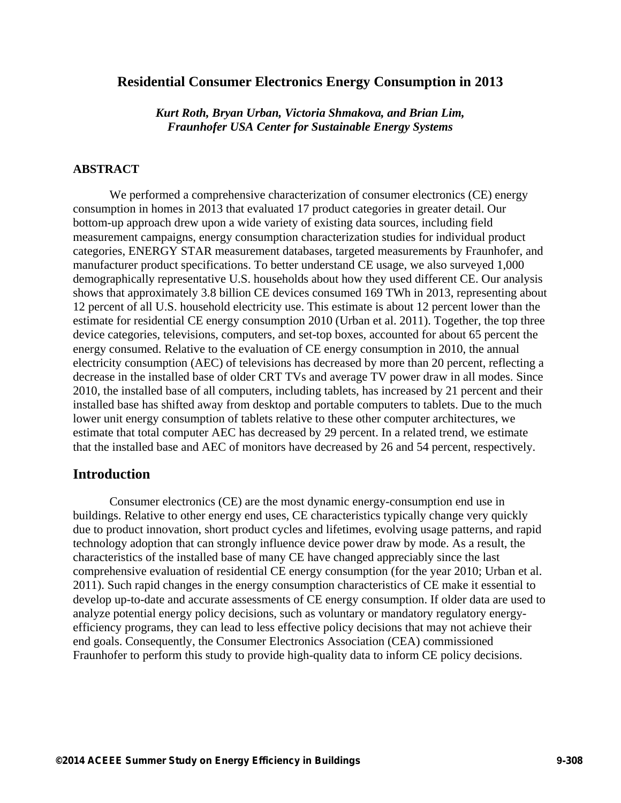## **Residential Consumer Electronics Energy Consumption in 2013**

*Kurt Roth, Bryan Urban, Victoria Shmakova, and Brian Lim, Fraunhofer USA Center for Sustainable Energy Systems* 

### **ABSTRACT**

We performed a comprehensive characterization of consumer electronics (CE) energy consumption in homes in 2013 that evaluated 17 product categories in greater detail. Our bottom-up approach drew upon a wide variety of existing data sources, including field measurement campaigns, energy consumption characterization studies for individual product categories, ENERGY STAR measurement databases, targeted measurements by Fraunhofer, and manufacturer product specifications. To better understand CE usage, we also surveyed 1,000 demographically representative U.S. households about how they used different CE. Our analysis shows that approximately 3.8 billion CE devices consumed 169 TWh in 2013, representing about 12 percent of all U.S. household electricity use. This estimate is about 12 percent lower than the estimate for residential CE energy consumption 2010 (Urban et al. 2011). Together, the top three device categories, televisions, computers, and set-top boxes, accounted for about 65 percent the energy consumed. Relative to the evaluation of CE energy consumption in 2010, the annual electricity consumption (AEC) of televisions has decreased by more than 20 percent, reflecting a decrease in the installed base of older CRT TVs and average TV power draw in all modes. Since 2010, the installed base of all computers, including tablets, has increased by 21 percent and their installed base has shifted away from desktop and portable computers to tablets. Due to the much lower unit energy consumption of tablets relative to these other computer architectures, we estimate that total computer AEC has decreased by 29 percent. In a related trend, we estimate that the installed base and AEC of monitors have decreased by 26 and 54 percent, respectively.

## **Introduction**

Consumer electronics (CE) are the most dynamic energy-consumption end use in buildings. Relative to other energy end uses, CE characteristics typically change very quickly due to product innovation, short product cycles and lifetimes, evolving usage patterns, and rapid technology adoption that can strongly influence device power draw by mode. As a result, the characteristics of the installed base of many CE have changed appreciably since the last comprehensive evaluation of residential CE energy consumption (for the year 2010; Urban et al. 2011). Such rapid changes in the energy consumption characteristics of CE make it essential to develop up-to-date and accurate assessments of CE energy consumption. If older data are used to analyze potential energy policy decisions, such as voluntary or mandatory regulatory energyefficiency programs, they can lead to less effective policy decisions that may not achieve their end goals. Consequently, the Consumer Electronics Association (CEA) commissioned Fraunhofer to perform this study to provide high-quality data to inform CE policy decisions.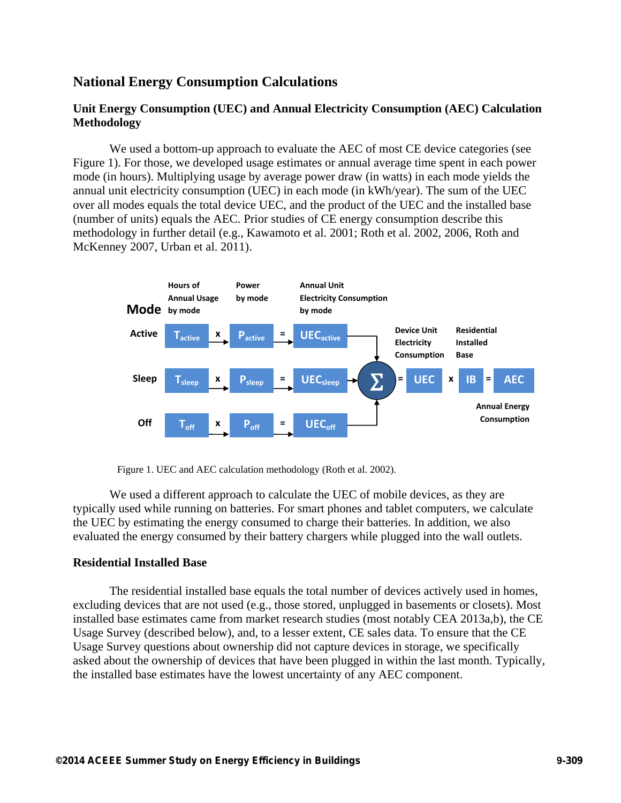# **National Energy Consumption Calculations**

## **Unit Energy Consumption (UEC) and Annual Electricity Consumption (AEC) Calculation Methodology**

We used a bottom-up approach to evaluate the AEC of most CE device categories (see Figure 1). For those, we developed usage estimates or annual average time spent in each power mode (in hours). Multiplying usage by average power draw (in watts) in each mode yields the annual unit electricity consumption (UEC) in each mode (in kWh/year). The sum of the UEC over all modes equals the total device UEC, and the product of the UEC and the installed base (number of units) equals the AEC. Prior studies of CE energy consumption describe this methodology in further detail (e.g., Kawamoto et al. 2001; Roth et al. 2002, 2006, Roth and McKenney 2007, Urban et al. 2011).



Figure 1. UEC and AEC calculation methodology (Roth et al. 2002).

We used a different approach to calculate the UEC of mobile devices, as they are typically used while running on batteries. For smart phones and tablet computers, we calculate the UEC by estimating the energy consumed to charge their batteries. In addition, we also evaluated the energy consumed by their battery chargers while plugged into the wall outlets.

### **Residential Installed Base**

The residential installed base equals the total number of devices actively used in homes, excluding devices that are not used (e.g., those stored, unplugged in basements or closets). Most installed base estimates came from market research studies (most notably CEA 2013a,b), the CE Usage Survey (described below), and, to a lesser extent, CE sales data. To ensure that the CE Usage Survey questions about ownership did not capture devices in storage, we specifically asked about the ownership of devices that have been plugged in within the last month. Typically, the installed base estimates have the lowest uncertainty of any AEC component.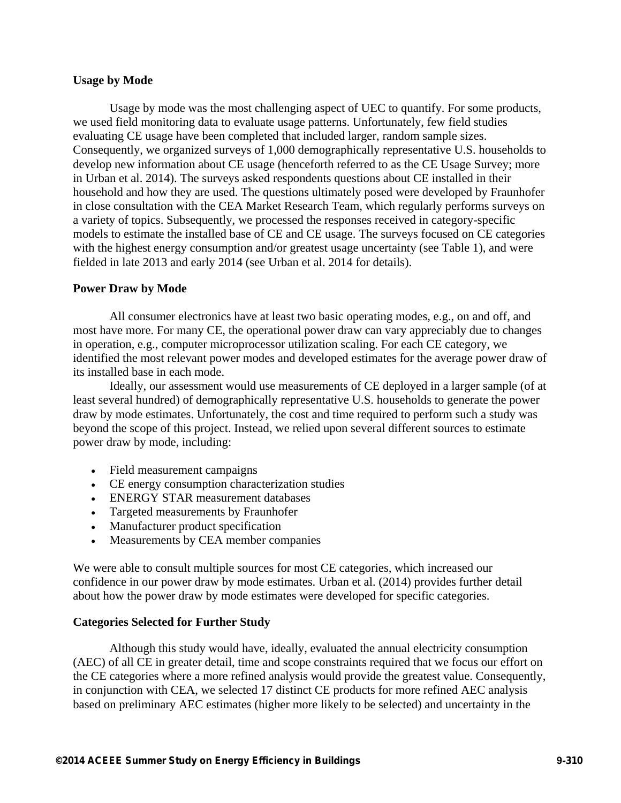### **Usage by Mode**

Usage by mode was the most challenging aspect of UEC to quantify. For some products, we used field monitoring data to evaluate usage patterns. Unfortunately, few field studies evaluating CE usage have been completed that included larger, random sample sizes. Consequently, we organized surveys of 1,000 demographically representative U.S. households to develop new information about CE usage (henceforth referred to as the CE Usage Survey; more in Urban et al. 2014). The surveys asked respondents questions about CE installed in their household and how they are used. The questions ultimately posed were developed by Fraunhofer in close consultation with the CEA Market Research Team, which regularly performs surveys on a variety of topics. Subsequently, we processed the responses received in category-specific models to estimate the installed base of CE and CE usage. The surveys focused on CE categories with the highest energy consumption and/or greatest usage uncertainty (see Table 1), and were fielded in late 2013 and early 2014 (see Urban et al. 2014 for details).

### **Power Draw by Mode**

All consumer electronics have at least two basic operating modes, e.g., on and off, and most have more. For many CE, the operational power draw can vary appreciably due to changes in operation, e.g., computer microprocessor utilization scaling. For each CE category, we identified the most relevant power modes and developed estimates for the average power draw of its installed base in each mode.

Ideally, our assessment would use measurements of CE deployed in a larger sample (of at least several hundred) of demographically representative U.S. households to generate the power draw by mode estimates. Unfortunately, the cost and time required to perform such a study was beyond the scope of this project. Instead, we relied upon several different sources to estimate power draw by mode, including:

- Field measurement campaigns
- CE energy consumption characterization studies
- ENERGY STAR measurement databases
- Targeted measurements by Fraunhofer
- Manufacturer product specification
- Measurements by CEA member companies

We were able to consult multiple sources for most CE categories, which increased our confidence in our power draw by mode estimates. Urban et al. (2014) provides further detail about how the power draw by mode estimates were developed for specific categories.

## **Categories Selected for Further Study**

Although this study would have, ideally, evaluated the annual electricity consumption (AEC) of all CE in greater detail, time and scope constraints required that we focus our effort on the CE categories where a more refined analysis would provide the greatest value. Consequently, in conjunction with CEA, we selected 17 distinct CE products for more refined AEC analysis based on preliminary AEC estimates (higher more likely to be selected) and uncertainty in the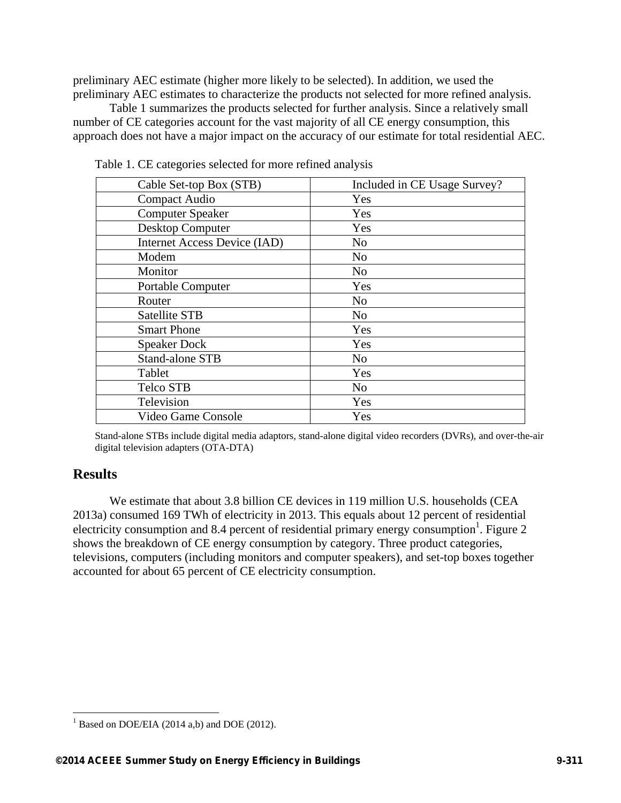preliminary AEC estimate (higher more likely to be selected). In addition, we used the preliminary AEC estimates to characterize the products not selected for more refined analysis.

Table 1 summarizes the products selected for further analysis. Since a relatively small number of CE categories account for the vast majority of all CE energy consumption, this approach does not have a major impact on the accuracy of our estimate for total residential AEC.

| Cable Set-top Box (STB)      | Included in CE Usage Survey? |
|------------------------------|------------------------------|
| Compact Audio                | Yes                          |
| <b>Computer Speaker</b>      | <b>Yes</b>                   |
| <b>Desktop Computer</b>      | Yes                          |
| Internet Access Device (IAD) | N <sub>o</sub>               |
| Modem                        | N <sub>0</sub>               |
| Monitor                      | N <sub>o</sub>               |
| <b>Portable Computer</b>     | Yes                          |
| Router                       | N <sub>0</sub>               |
| <b>Satellite STB</b>         | N <sub>o</sub>               |
| <b>Smart Phone</b>           | Yes                          |
| <b>Speaker Dock</b>          | Yes                          |
| <b>Stand-alone STB</b>       | N <sub>o</sub>               |
| Tablet                       | Yes                          |
| Telco STB                    | N <sub>o</sub>               |
| Television                   | Yes                          |
| Video Game Console           | Yes                          |

Table 1. CE categories selected for more refined analysis

Stand-alone STBs include digital media adaptors, stand-alone digital video recorders (DVRs), and over-the-air digital television adapters (OTA-DTA)

## **Results**

 $\overline{a}$ 

We estimate that about 3.8 billion CE devices in 119 million U.S. households (CEA 2013a) consumed 169 TWh of electricity in 2013. This equals about 12 percent of residential electricity consumption and 8.4 percent of residential primary energy consumption<sup>1</sup>. Figure 2 shows the breakdown of CE energy consumption by category. Three product categories, televisions, computers (including monitors and computer speakers), and set-top boxes together accounted for about 65 percent of CE electricity consumption.

 $<sup>1</sup>$  Based on DOE/EIA (2014 a,b) and DOE (2012).</sup>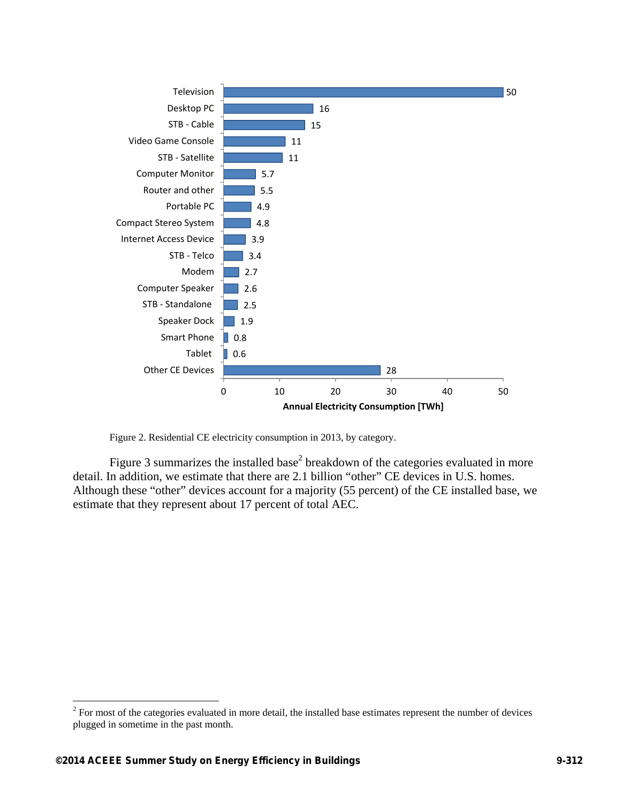

Figure 2. Residential CE electricity consumption in 2013, by category.

Figure 3 summarizes the installed base<sup>2</sup> breakdown of the categories evaluated in more detail. In addition, we estimate that there are 2.1 billion "other" CE devices in U.S. homes. Although these "other" devices account for a majority (55 percent) of the CE installed base, we estimate that they represent about 17 percent of total AEC.

 $\overline{a}$ 

 $2^2$  For most of the categories evaluated in more detail, the installed base estimates represent the number of devices plugged in sometime in the past month.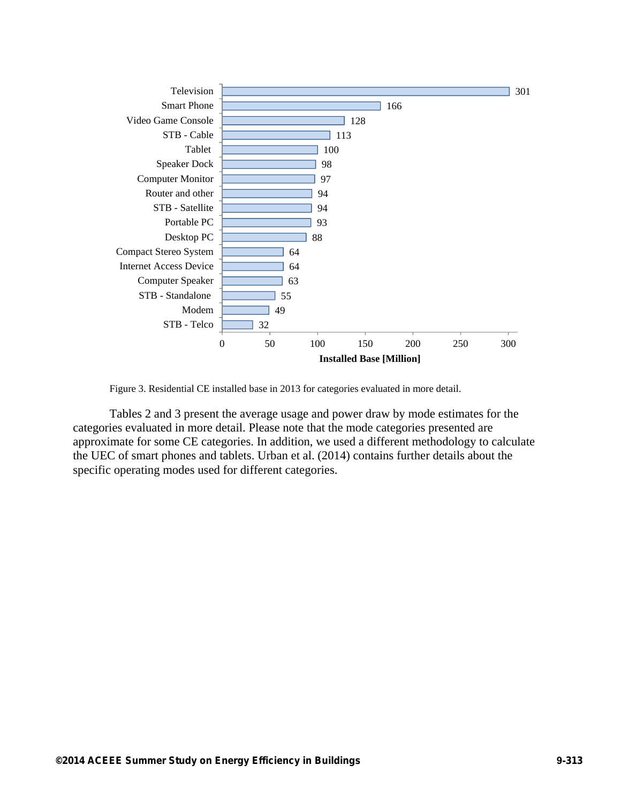

Figure 3. Residential CE installed base in 2013 for categories evaluated in more detail.

Tables 2 and 3 present the average usage and power draw by mode estimates for the categories evaluated in more detail. Please note that the mode categories presented are approximate for some CE categories. In addition, we used a different methodology to calculate the UEC of smart phones and tablets. Urban et al. (2014) contains further details about the specific operating modes used for different categories.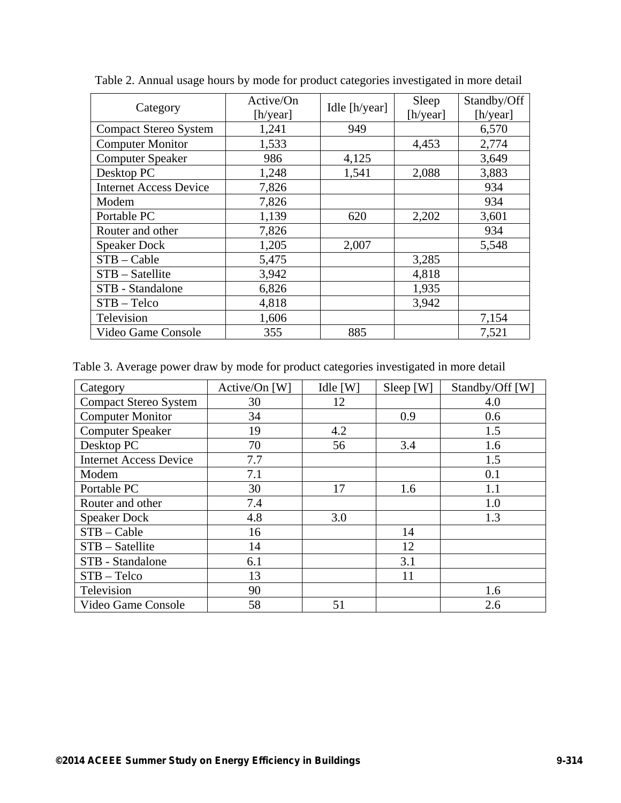| Category                      | Active/On<br>[h/year] | Idle [h/year] | Sleep<br>[h/year] | Standby/Off<br>[h/year] |
|-------------------------------|-----------------------|---------------|-------------------|-------------------------|
| <b>Compact Stereo System</b>  | 1,241                 | 949           |                   | 6,570                   |
| <b>Computer Monitor</b>       | 1,533                 |               | 4,453             | 2,774                   |
| <b>Computer Speaker</b>       | 986                   | 4,125         |                   | 3,649                   |
| Desktop PC                    | 1,248                 | 1,541         | 2,088             | 3,883                   |
| <b>Internet Access Device</b> | 7,826                 |               |                   | 934                     |
| Modem                         | 7,826                 |               |                   | 934                     |
| Portable PC                   | 1,139                 | 620           | 2,202             | 3,601                   |
| Router and other              | 7,826                 |               |                   | 934                     |
| <b>Speaker Dock</b>           | 1,205                 | 2,007         |                   | 5,548                   |
| $STB - Cable$                 | 5,475                 |               | 3,285             |                         |
| STB - Satellite               | 3,942                 |               | 4,818             |                         |
| STB - Standalone              | 6,826                 |               | 1,935             |                         |
| $STB - Telco$                 | 4,818                 |               | 3,942             |                         |
| Television                    | 1,606                 |               |                   | 7,154                   |
| Video Game Console            | 355                   | 885           |                   | 7,521                   |

Table 2. Annual usage hours by mode for product categories investigated in more detail

Table 3. Average power draw by mode for product categories investigated in more detail

| Category                      | Active/On [W] | Idle $[W]$ | Sleep [W] | Standby/Off [W] |
|-------------------------------|---------------|------------|-----------|-----------------|
| <b>Compact Stereo System</b>  | 30            | 12         |           | 4.0             |
| <b>Computer Monitor</b>       | 34            |            | 0.9       | 0.6             |
| <b>Computer Speaker</b>       | 19            | 4.2        |           | 1.5             |
| Desktop PC                    | 70            | 56         | 3.4       | 1.6             |
| <b>Internet Access Device</b> | 7.7           |            |           | 1.5             |
| Modem                         | 7.1           |            |           | 0.1             |
| Portable PC                   | 30            | 17         | 1.6       | 1.1             |
| Router and other              | 7.4           |            |           | 1.0             |
| <b>Speaker Dock</b>           | 4.8           | 3.0        |           | 1.3             |
| $STB - Cable$                 | 16            |            | 14        |                 |
| STB - Satellite               | 14            |            | 12        |                 |
| STB - Standalone              | 6.1           |            | 3.1       |                 |
| $STB - Telco$                 | 13            |            | 11        |                 |
| Television                    | 90            |            |           | 1.6             |
| Video Game Console            | 58            | 51         |           | 2.6             |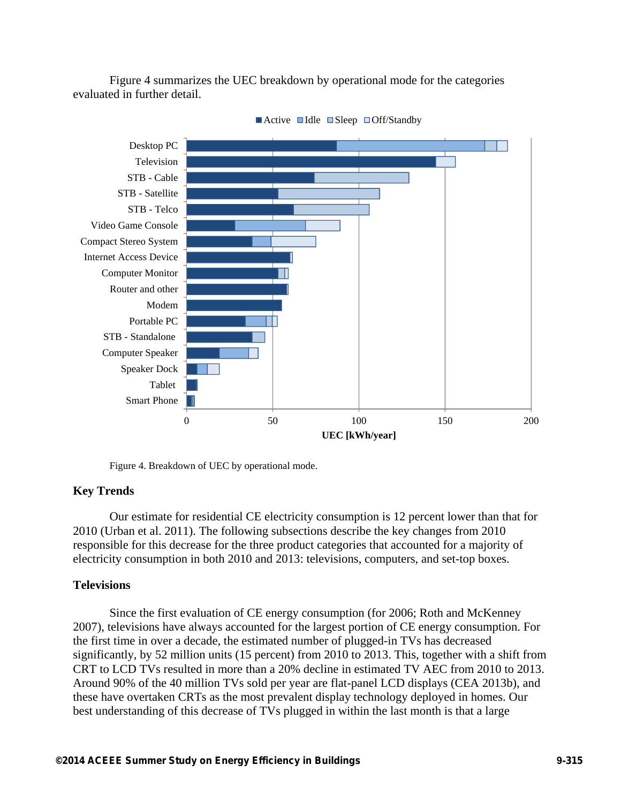Figure 4 summarizes the UEC breakdown by operational mode for the categories evaluated in further detail.



 $\blacksquare$  Active  $\blacksquare$  Idle  $\blacksquare$  Sleep  $\blacksquare$  Off/Standby

Figure 4. Breakdown of UEC by operational mode.

### **Key Trends**

Our estimate for residential CE electricity consumption is 12 percent lower than that for 2010 (Urban et al. 2011). The following subsections describe the key changes from 2010 responsible for this decrease for the three product categories that accounted for a majority of electricity consumption in both 2010 and 2013: televisions, computers, and set-top boxes.

### **Televisions**

Since the first evaluation of CE energy consumption (for 2006; Roth and McKenney 2007), televisions have always accounted for the largest portion of CE energy consumption. For the first time in over a decade, the estimated number of plugged-in TVs has decreased significantly, by 52 million units (15 percent) from 2010 to 2013. This, together with a shift from CRT to LCD TVs resulted in more than a 20% decline in estimated TV AEC from 2010 to 2013. Around 90% of the 40 million TVs sold per year are flat-panel LCD displays (CEA 2013b), and these have overtaken CRTs as the most prevalent display technology deployed in homes. Our best understanding of this decrease of TVs plugged in within the last month is that a large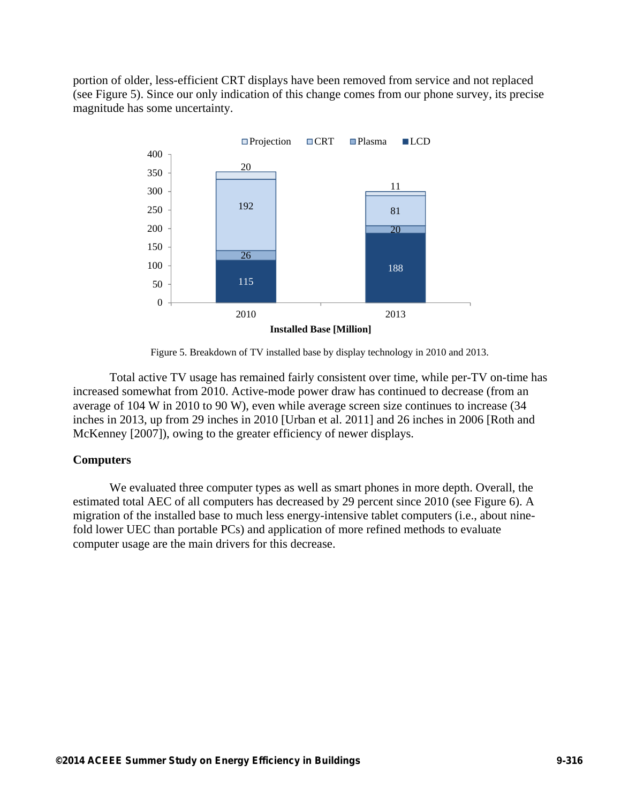portion of older, less-efficient CRT displays have been removed from service and not replaced (see Figure 5). Since our only indication of this change comes from our phone survey, its precise magnitude has some uncertainty.



Figure 5. Breakdown of TV installed base by display technology in 2010 and 2013.

Total active TV usage has remained fairly consistent over time, while per-TV on-time has increased somewhat from 2010. Active-mode power draw has continued to decrease (from an average of 104 W in 2010 to 90 W), even while average screen size continues to increase (34 inches in 2013, up from 29 inches in 2010 [Urban et al. 2011] and 26 inches in 2006 [Roth and McKenney [2007]), owing to the greater efficiency of newer displays.

## **Computers**

We evaluated three computer types as well as smart phones in more depth. Overall, the estimated total AEC of all computers has decreased by 29 percent since 2010 (see Figure 6). A migration of the installed base to much less energy-intensive tablet computers (i.e., about ninefold lower UEC than portable PCs) and application of more refined methods to evaluate computer usage are the main drivers for this decrease.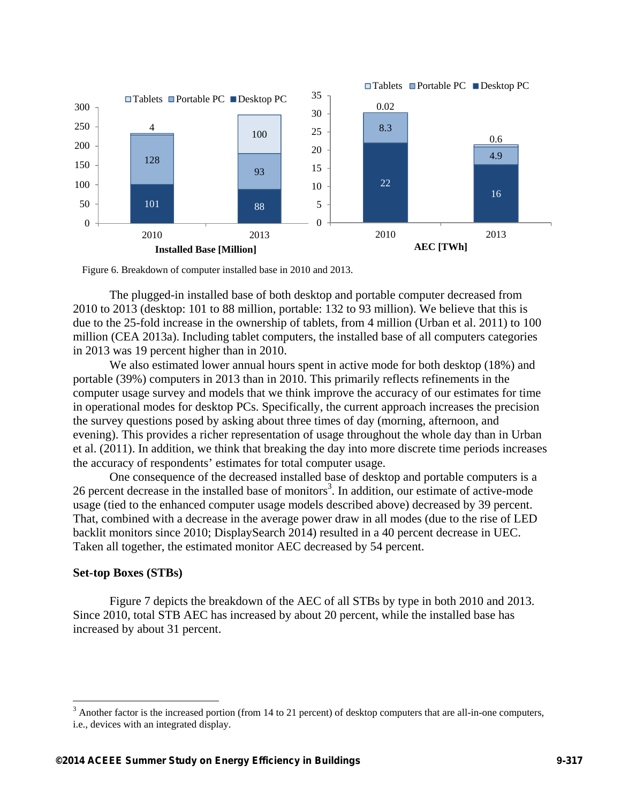

Figure 6. Breakdown of computer installed base in 2010 and 2013.

The plugged-in installed base of both desktop and portable computer decreased from 2010 to 2013 (desktop: 101 to 88 million, portable: 132 to 93 million). We believe that this is due to the 25-fold increase in the ownership of tablets, from 4 million (Urban et al. 2011) to 100 million (CEA 2013a). Including tablet computers, the installed base of all computers categories in 2013 was 19 percent higher than in 2010.

We also estimated lower annual hours spent in active mode for both desktop (18%) and portable (39%) computers in 2013 than in 2010. This primarily reflects refinements in the computer usage survey and models that we think improve the accuracy of our estimates for time in operational modes for desktop PCs. Specifically, the current approach increases the precision the survey questions posed by asking about three times of day (morning, afternoon, and evening). This provides a richer representation of usage throughout the whole day than in Urban et al. (2011). In addition, we think that breaking the day into more discrete time periods increases the accuracy of respondents' estimates for total computer usage.

One consequence of the decreased installed base of desktop and portable computers is a 26 percent decrease in the installed base of monitors<sup>3</sup>. In addition, our estimate of active-mode usage (tied to the enhanced computer usage models described above) decreased by 39 percent. That, combined with a decrease in the average power draw in all modes (due to the rise of LED backlit monitors since 2010; DisplaySearch 2014) resulted in a 40 percent decrease in UEC. Taken all together, the estimated monitor AEC decreased by 54 percent.

#### **Set-top Boxes (STBs)**

Figure 7 depicts the breakdown of the AEC of all STBs by type in both 2010 and 2013. Since 2010, total STB AEC has increased by about 20 percent, while the installed base has increased by about 31 percent.

<sup>&</sup>lt;sup>3</sup> Another factor is the increased portion (from 14 to 21 percent) of desktop computers that are all-in-one computers, i.e., devices with an integrated display.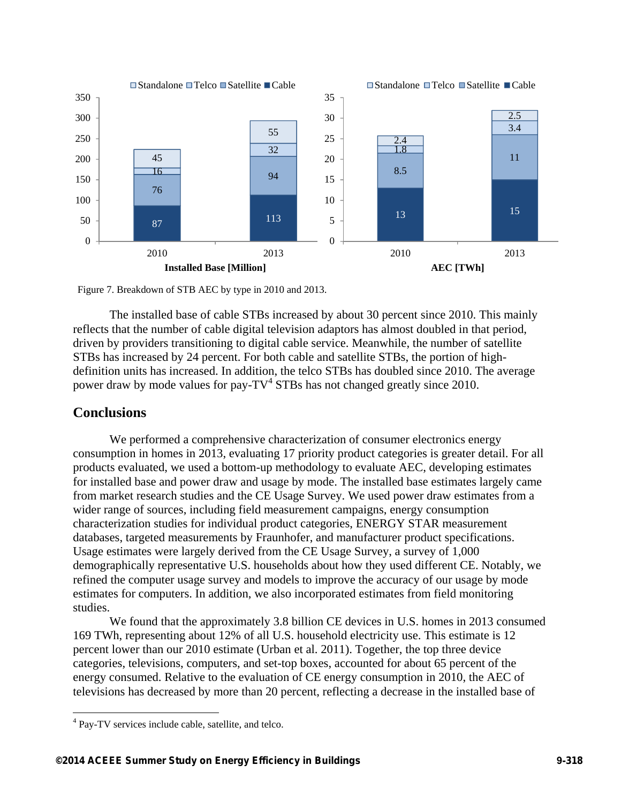

Figure 7. Breakdown of STB AEC by type in 2010 and 2013.

The installed base of cable STBs increased by about 30 percent since 2010. This mainly reflects that the number of cable digital television adaptors has almost doubled in that period, driven by providers transitioning to digital cable service. Meanwhile, the number of satellite STBs has increased by 24 percent. For both cable and satellite STBs, the portion of highdefinition units has increased. In addition, the telco STBs has doubled since 2010. The average power draw by mode values for pay- $TV^4$  STBs has not changed greatly since 2010.

## **Conclusions**

 $\overline{a}$ 

We performed a comprehensive characterization of consumer electronics energy consumption in homes in 2013, evaluating 17 priority product categories is greater detail. For all products evaluated, we used a bottom-up methodology to evaluate AEC, developing estimates for installed base and power draw and usage by mode. The installed base estimates largely came from market research studies and the CE Usage Survey. We used power draw estimates from a wider range of sources, including field measurement campaigns, energy consumption characterization studies for individual product categories, ENERGY STAR measurement databases, targeted measurements by Fraunhofer, and manufacturer product specifications. Usage estimates were largely derived from the CE Usage Survey, a survey of 1,000 demographically representative U.S. households about how they used different CE. Notably, we refined the computer usage survey and models to improve the accuracy of our usage by mode estimates for computers. In addition, we also incorporated estimates from field monitoring studies.

We found that the approximately 3.8 billion CE devices in U.S. homes in 2013 consumed 169 TWh, representing about 12% of all U.S. household electricity use. This estimate is 12 percent lower than our 2010 estimate (Urban et al. 2011). Together, the top three device categories, televisions, computers, and set-top boxes, accounted for about 65 percent of the energy consumed. Relative to the evaluation of CE energy consumption in 2010, the AEC of televisions has decreased by more than 20 percent, reflecting a decrease in the installed base of

<sup>&</sup>lt;sup>4</sup> Pay-TV services include cable, satellite, and telco.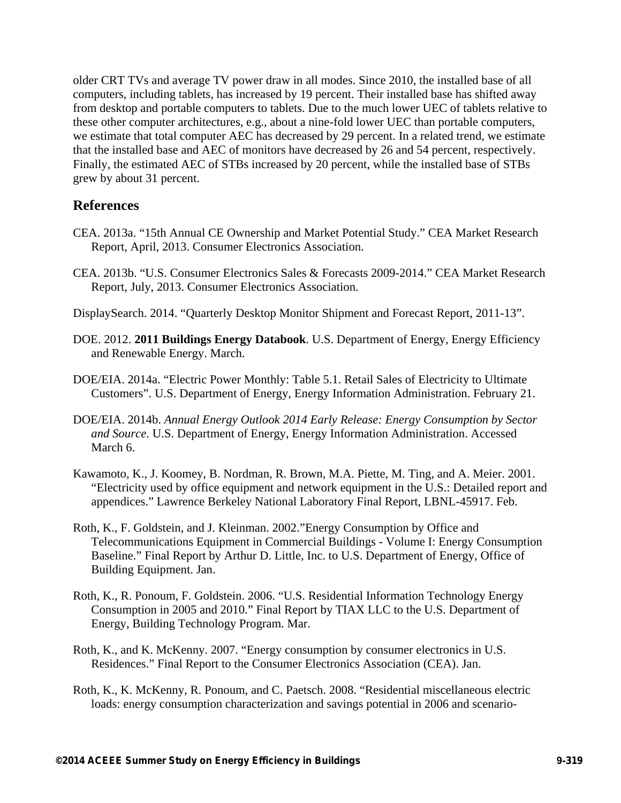older CRT TVs and average TV power draw in all modes. Since 2010, the installed base of all computers, including tablets, has increased by 19 percent. Their installed base has shifted away from desktop and portable computers to tablets. Due to the much lower UEC of tablets relative to these other computer architectures, e.g., about a nine-fold lower UEC than portable computers, we estimate that total computer AEC has decreased by 29 percent. In a related trend, we estimate that the installed base and AEC of monitors have decreased by 26 and 54 percent, respectively. Finally, the estimated AEC of STBs increased by 20 percent, while the installed base of STBs grew by about 31 percent.

# **References**

- CEA. 2013a. "15th Annual CE Ownership and Market Potential Study." CEA Market Research Report, April, 2013. Consumer Electronics Association.
- CEA. 2013b. "U.S. Consumer Electronics Sales & Forecasts 2009-2014." CEA Market Research Report, July, 2013. Consumer Electronics Association.
- DisplaySearch. 2014. "Quarterly Desktop Monitor Shipment and Forecast Report, 2011-13".
- DOE. 2012. **2011 Buildings Energy Databook**. U.S. Department of Energy, Energy Efficiency and Renewable Energy. March.
- DOE/EIA. 2014a. "Electric Power Monthly: Table 5.1. Retail Sales of Electricity to Ultimate Customers". U.S. Department of Energy, Energy Information Administration. February 21.
- DOE/EIA. 2014b. *Annual Energy Outlook 2014 Early Release: Energy Consumption by Sector and Source*. U.S. Department of Energy, Energy Information Administration. Accessed March 6.
- Kawamoto, K., J. Koomey, B. Nordman, R. Brown, M.A. Piette, M. Ting, and A. Meier. 2001. "Electricity used by office equipment and network equipment in the U.S.: Detailed report and appendices." Lawrence Berkeley National Laboratory Final Report, LBNL-45917. Feb.
- Roth, K., F. Goldstein, and J. Kleinman. 2002."Energy Consumption by Office and Telecommunications Equipment in Commercial Buildings - Volume I: Energy Consumption Baseline." Final Report by Arthur D. Little, Inc. to U.S. Department of Energy, Office of Building Equipment. Jan.
- Roth, K., R. Ponoum, F. Goldstein. 2006. "U.S. Residential Information Technology Energy Consumption in 2005 and 2010." Final Report by TIAX LLC to the U.S. Department of Energy, Building Technology Program. Mar.
- Roth, K., and K. McKenny. 2007. "Energy consumption by consumer electronics in U.S. Residences." Final Report to the Consumer Electronics Association (CEA). Jan.
- Roth, K., K. McKenny, R. Ponoum, and C. Paetsch. 2008. "Residential miscellaneous electric loads: energy consumption characterization and savings potential in 2006 and scenario-